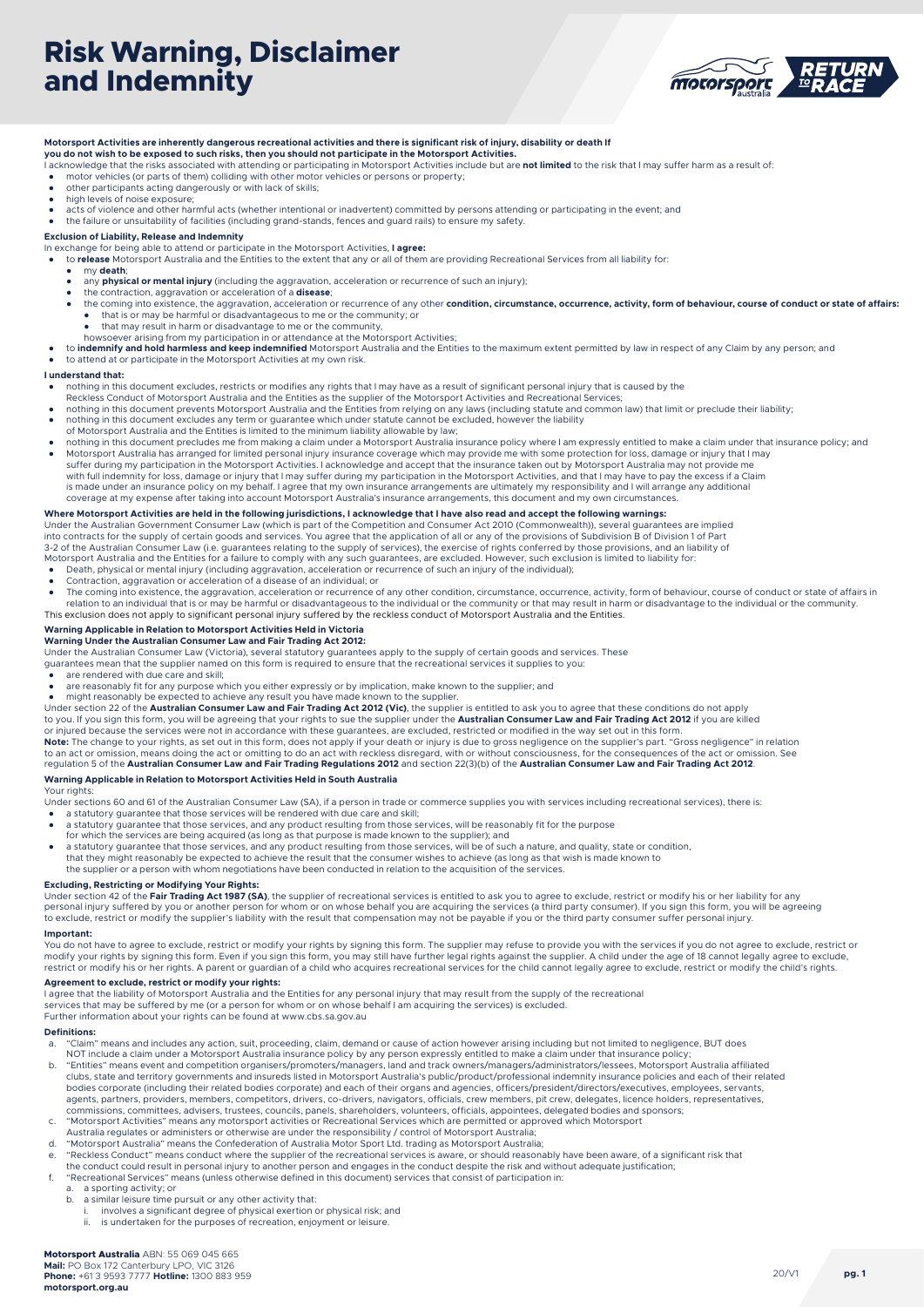## **Risk Warning, Disclaimer and Indemnity**



#### **Motorsport Activities are inherently dangerous recreational activities and there is significant risk of injury, disability or death If you do not wish to be exposed to such risks, then you should not participate in the Motorsport Activities.**

- I acknowledge that the risks associated with attending or participating in Motorsport Activities include but are **not limited** to the risk that I may suffer harm as a result of:
- motor vehicles (or parts of them) colliding with other motor vehicles or persons or property; other participants acting dangerously or with lack of skills;
- but constructed but the control of noise exposure;
- acts of violence and other harmful acts (whether intentional or inadvertent) committed by persons attending or participating in the event; and
- the failure or unsuitability of facilities (including grand-stands, fences and guard rails) to ensure my safety.

#### **Exclusion of Liability, Release and Indemnity**

In exchange for being able to attend or participate in the Motorsport Activities, **I agree:** 

- to **release** Motorsport Australia and the Entities to the extent that any or all of them are providing Recreational Services from all liability for
- my **death**;
- any **physical or mental injury** (including the aggravation, acceleration or recurrence of such an injury); the contraction, aggravation or acceleration of a **disease**;
- 
- the coming into existence, the aggravation, acceleration or recurrence of any other **condition, circumstance, occurrence, activity, form of behaviour, course of conduct or state of affairs:** ● that is or may be harmful or disadvantageous to me or the community; or<br>● that may result in harm or disadvantage to me or the community,
- 
- howsoever arising from my participation in or attendance at the Motorsport Activities;
- to **indemnify and hold harmless and keep indemnified** Motorsport Australia and the Entities to the maximum extent permitted by law in respect of any Claim by any person; and to attend at or participate in the Motorsport Activities at my own risk.

#### **I understand that:**

- nothing in this document excludes, restricts or modifies any rights that I may have as a result of significant personal injury that is caused by the
- Reckless Conduct of Motorsport Australia and the Entities as the supplier of the Motorsport Activities and Recreational Services;
- nothing in this document prevents Motorsport Australia and the Entities from relying on any laws (including statute and common law) that limit or preclude their liability;
- nothing in this document excludes any term or guarantee which under statute cannot be excluded, however the liability of Motorsport Australia and the Entities is limited to the minimum liability allowable by law;
- 
- nothing in this document precludes me from making a claim under a Motorsport Australia insurance policy where I am expressly entitled to make a claim under that insurance policy; and Motorsport Australia has arranged for limited personal injury insurance coverage which may provide me with some protection for loss, damage or injury that I may suffer during my participation in the Motorsport Activities. I acknowledge and accept that the insurance taken out by Motorsport Australia may not provide me<br>with full indemnity for loss, damage or injury that I may suffer is made under an insurance policy on my behalf. I agree that my own insurance arrangements are ultimately my responsibility and I will arrange any additional coverage at my expense after taking into account Motorsport Australia's insurance arrangements, this document and my own circumstances.

#### **Where Motorsport Activities are held in the following jurisdictions, I acknowledge that I have also read and accept the following warnings:**

Under the Australian Government Consumer Law (which is part of the Competition and Consumer Act 2010 (Commonwealth)), several guarantees are implied<br>into contracts for the supply of certain goods and services. You agree th

3-2 of the Australian Consumer Law (i.e. guarantees relating to the supply of services), the exercise of rights conferred by those provisions, and an liability of

- Motorsport Australia and the Entities for a failure to comply with any such guarantees, are excluded. However, such exclusion is limited to liability for:<br>• Death, physical or mental injury (including aggravation, accelera
- 
- Contraction, aggravation or acceleration of a disease of an individual; or
- The coming into existence, the aggravation, acceleration or recurrence of any other condition, circumstance, occurrence, activity, form of behaviour, course of conduct or state of affairs in relation to an individual that is or may be harmful or disadvantageous to the individual or the community or that may result in harm or disadvantage to the individual or the community. This exclusion does not apply to significant personal injury suffered by the reckless conduct of Motorsport Australia and the Entities.

#### **Warning Applicable in Relation to Motorsport Activities Held in Victoria**

**Warning Under the Australian Consumer Law and Fair Trading Act 2012:** 

Under the Australian Consumer Law (Victoria), several statutory guarantees apply to the supply of certain goods and services. These guarantees mean that the supplier named on this form is required to ensure that the recreational services it supplies to you:

- are rendered with due care and skill:
- 
- are reasonably fit for any purpose which you either expressly or by implication, make known to the supplier; and<br>● might reasonably be expected to achieve any result you have made known to the supplier.

Under section 22 of the **Australian Consumer Law and Fair Trading Act 2012 (Vic)**, the supplier is entitled to ask you to agree that these conditions do not apply<br>to you. If you sign this form, you will be agreeing that yo or injured because the services were not in accordance with these guarantees, are excluded, restricted or modified in the way set out in this form.<br>**Note:** The change to your rights, as set out in this form, does not apply

to an act or omission, means doing the act or omitting to do an act with reckless disregard, with or without consciousness, for the consequences of the act or omission. See<br>regulation 5 of the **Australian Consumer Law and** 

#### **Warning Applicable in Relation to Motorsport Activities Held in South Australia**

Your rights

Under sections 60 and 61 of the Australian Consumer Law (SA), if a person in trade or commerce supplies you with services including recreational services), there is:

- 
- a statutory guarantee that those services will be rendered with due care and skill; a statutory guarantee that those services, and any product resulting from those services, will be reasonably fit for the purpose
- for which the services are being acquired (as long as that purpose is made known to the supplier); and ● a statutory guarantee that those services, and any product resulting from those services, will be of such a nature, and quality, state or condition,
- that they might reasonably be expected to achieve the result that the consumer wishes to achieve (as long as that wish is made known to

the supplier or a person with whom negotiations have been conducted in relation to the acquisition of the services.

#### **Excluding, Restricting or Modifying Your Rights:**

Under section 42 of the **Fair Trading Act 1987 (SA)**, the supplier of recreational services is entitled to ask you to agree to exclude, restrict or modify his or her liability for any<br>personal injury suffered by you or ano to exclude, restrict or modify the supplier's liability with the result that compensation may not be payable if you or the third party consumer suffer personal injury.

#### **Important:**

You do not have to agree to exclude, restrict or modify your rights by signing this form. The supplier may refuse to provide you with the services if you do not agree to exclude, restrict or modify your rights by signing this form. Even if you sign this form, you may still have further legal rights against the supplier. A child under the age of 18 cannot legally agree to exclude, restrict or modify his or her rights. A parent or guardian of a child who acquires recreational services for the child cannot legally agree to exclude, restrict or modify the child's rights.

#### **Agreement to exclude, restrict or modify your rights:**

I agree that the liability of Motorsport Australia and the Entities for any personal injury that may result from the supply of the recreational

services that may be suffered by me (or a person for whom or on whose behalf I am acquiring the services) is excluded. Further information about your rights can be found at www.cbs.sa.gov.au

#### **Definitions:**

- a. "Claim" means and includes any action, suit, proceeding, claim, demand or cause of action however arising including but not limited to negligence, BUT does NOT include a claim under a Motorsport Australia insurance policy by any person expressly entitled to make a claim under that insurance policy;
- b. "Entities" means event and competition organisers/promoters/managers, land and track owners/managers/administrators/lessees, Motorsport Australia affiliated<br>clubs, state and territory governments and insureds listed in bodies corporate (including their related bodies corporate) and each of their organs and agencies, officers/president/directors/executives, employees, servants,<br>agents, partners, providers, members, competitors, drivers, c commissions, committees, advisers, trustees, councils, panels, shareholders, volunteers, officials, appointees, delegated bodies and sponsors;<br>C. "Motorsport Activities" means any motorsport activities or Recreational S
- Australia regulates or administers or otherwise are under the responsibility / control of Motorsport Australia;
- 
- d. "Motorsport Australia" means the Confederation of Australia Motor Sport Ltd. trading as Motorsport Australia;<br>e. "Reckless Conduct" means conduct where the supplier of the recreational services is aware, or should reaso
- the conduct could result in personal injury to another person and engages in the conduct despite the risk and without adequate justification;
- f. "Recreational Services" means (unless otherwise defined in this document) services that consist of participation in:
- a sporting activity; or
- b. a similar leisure time pursuit or any other activity that:
	- i. involves a significant degree of physical exertion or physical risk; and<br>i. is undertaken for the purposes of recreation enjoyment or leisure is undertaken for the purposes of recreation, enjoyment or leisure.

**pg. 1**